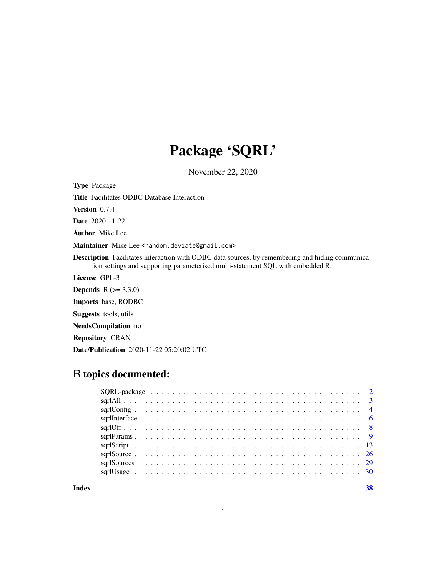## Package 'SQRL'

November 22, 2020

<span id="page-0-0"></span>Type Package

Title Facilitates ODBC Database Interaction

Version 0.7.4

Date 2020-11-22

Author Mike Lee

Maintainer Mike Lee <random.deviate@gmail.com>

Description Facilitates interaction with ODBC data sources, by remembering and hiding communication settings and supporting parameterised multi-statement SQL with embedded R.

License GPL-3

**Depends**  $R (= 3.3.0)$ 

Imports base, RODBC

Suggests tools, utils

NeedsCompilation no

Repository CRAN

Date/Publication 2020-11-22 05:20:02 UTC

## R topics documented:

**Index** [38](#page-37-0)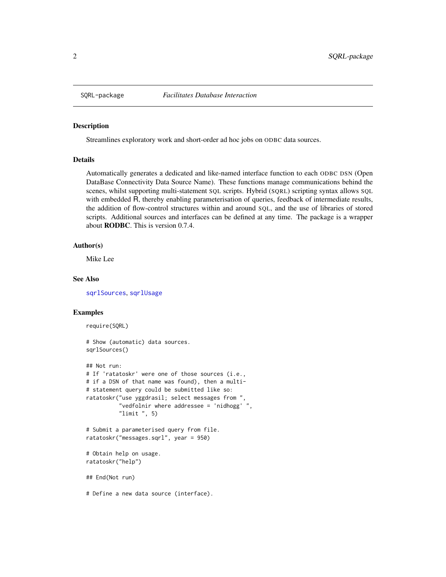<span id="page-1-0"></span>

#### <span id="page-1-1"></span>**Description**

Streamlines exploratory work and short-order ad hoc jobs on ODBC data sources.

#### Details

Automatically generates a dedicated and like-named interface function to each ODBC DSN (Open DataBase Connectivity Data Source Name). These functions manage communications behind the scenes, whilst supporting multi-statement SQL scripts. Hybrid (SQRL) scripting syntax allows SQL with embedded R, thereby enabling parameterisation of queries, feedback of intermediate results, the addition of flow-control structures within and around SQL, and the use of libraries of stored scripts. Additional sources and interfaces can be defined at any time. The package is a wrapper about RODBC. This is version 0.7.4.

### Author(s)

Mike Lee

## See Also

[sqrlSources](#page-28-1), [sqrlUsage](#page-29-1)

## Examples

```
require(SQRL)
```

```
# Show (automatic) data sources.
sqrlSources()
## Not run:
# If 'ratatoskr' were one of those sources (i.e.,
# if a DSN of that name was found), then a multi-
# statement query could be submitted like so:
ratatoskr("use yggdrasil; select messages from ",
          "vedfolnir where addressee = 'nidhogg' ",
          "limit", 5)
# Submit a parameterised query from file.
ratatoskr("messages.sqrl", year = 950)
# Obtain help on usage.
ratatoskr("help")
## End(Not run)
```
<sup>#</sup> Define a new data source (interface).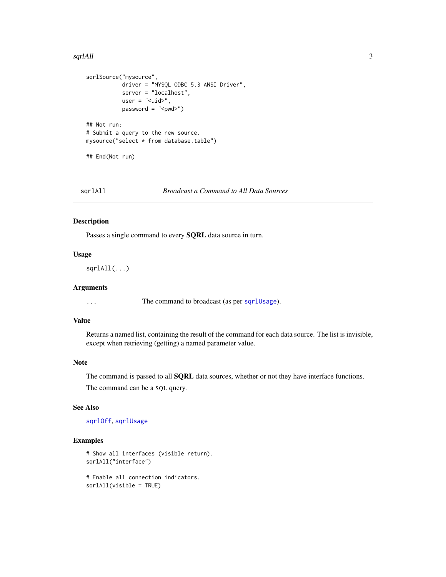#### <span id="page-2-0"></span>sqrlAll 3

```
sqrlSource("mysource",
           driver = "MYSQL ODBC 5.3 ANSI Driver",
           server = "localhost",
           user = " <uid>",
           password = "<pwd>")## Not run:
# Submit a query to the new source.
mysource("select * from database.table")
## End(Not run)
```
<span id="page-2-1"></span>sqrlAll *Broadcast a Command to All Data Sources*

## Description

Passes a single command to every SQRL data source in turn.

## Usage

sqrlAll(...)

#### Arguments

... The command to broadcast (as per [sqrlUsage](#page-29-1)).

## Value

Returns a named list, containing the result of the command for each data source. The list is invisible, except when retrieving (getting) a named parameter value.

## Note

The command is passed to all **SQRL** data sources, whether or not they have interface functions.

The command can be a SQL query.

## See Also

[sqrlOff](#page-7-1), [sqrlUsage](#page-29-1)

## Examples

```
# Show all interfaces (visible return).
sqrlAll("interface")
```
# Enable all connection indicators. sqrlAll(visible = TRUE)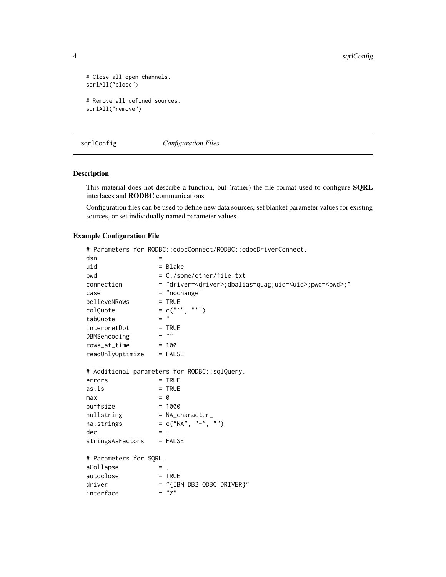```
# Close all open channels.
sqrlAll("close")
# Remove all defined sources.
sqrlAll("remove")
```
<span id="page-3-1"></span>sqrlConfig *Configuration Files*

## Description

This material does not describe a function, but (rather) the file format used to configure **SQRL** interfaces and RODBC communications.

Configuration files can be used to define new data sources, set blanket parameter values for existing sources, or set individually named parameter values.

## Example Configuration File

```
# Parameters for RODBC::odbcConnect/RODBC::odbcDriverConnect.
d\text{sn} =
uid = Blake
pwd = C:/some/other/file.txt
connection = "driver=<driver>;dbalias=quag;uid=<uid>;pwd=<pwd>;"
case = "nochange"
believeNRows = TRUE
colQuote = c("`", "''")<br>tabOuote = "tabQuote
interpretDot = TRUE<br>DBMSencoding = ""
DBMSencoding
rows_at_time = 100readOnlyOptimize = FALSE
# Additional parameters for RODBC::sqlQuery.
errors = TRUE
as.is = TRUEmax = 0
buffer = 1000nullstring = NA_character_
na.strings = c("NA", "-"", "")\text{dec} = .
stringsAsFactors = FALSE
# Parameters for SQRL.
aCollapse = ,
autoclose = TRUE
driver = "{IBM DB2 ODBC DRIVER}"<br>interface = "Z"interface
```
<span id="page-3-0"></span>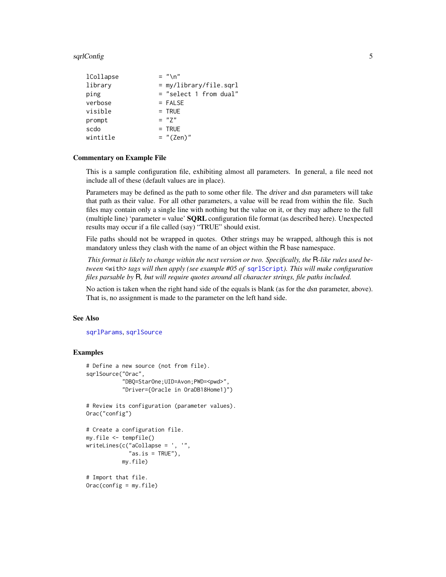#### <span id="page-4-0"></span>sqrlConfig 50 to 55 and 55 and 55 and 55 and 55 and 55 and 55 and 55 and 55 and 55 and 55 and 55 and 55 and 55

| lCollapse | $=$ "\n"                 |
|-----------|--------------------------|
| library   | $=$ my/library/file.sqrl |
| ping      | $=$ "select 1 from dual" |
| verbose   | $=$ FALSE                |
| visible   | $=$ TRUE                 |
| prompt    | $= "7"$                  |
| scdo      | $=$ TRUE                 |
| wintitle  | $=$ "(Zen)"              |

#### Commentary on Example File

This is a sample configuration file, exhibiting almost all parameters. In general, a file need not include all of these (default values are in place).

Parameters may be defined as the path to some other file. The driver and dsn parameters will take that path as their value. For all other parameters, a value will be read from within the file. Such files may contain only a single line with nothing but the value on it, or they may adhere to the full (multiple line) 'parameter = value'  $\mathbf{SQRL}$  configuration file format (as described here). Unexpected results may occur if a file called (say) "TRUE" should exist.

File paths should not be wrapped in quotes. Other strings may be wrapped, although this is not mandatory unless they clash with the name of an object within the R base namespace.

*This format is likely to change within the next version or two. Specifically, the* R*-like rules used between* <with> *tags will then apply (see example #05 of* [sqrlScript](#page-12-1)*). This will make configuration files parsable by* R*, but will require quotes around all character strings, file paths included.*

No action is taken when the right hand side of the equals is blank (as for the dsn parameter, above). That is, no assignment is made to the parameter on the left hand side.

#### See Also

[sqrlParams](#page-8-1), [sqrlSource](#page-25-1)

## Examples

```
# Define a new source (not from file).
sqrlSource("Orac",
           "DBQ=StarOne;UID=Avon;PWD=<pwd>",
           "Driver={Oracle in OraDB18Home1}")
# Review its configuration (parameter values).
Orac("config")
# Create a configuration file.
my.file <- tempfile()
writeLines(c("aCollapse = ', '",
             "as.is = TRUE"),
           my.file)
```
# Import that file.  $Orac(config = my.file)$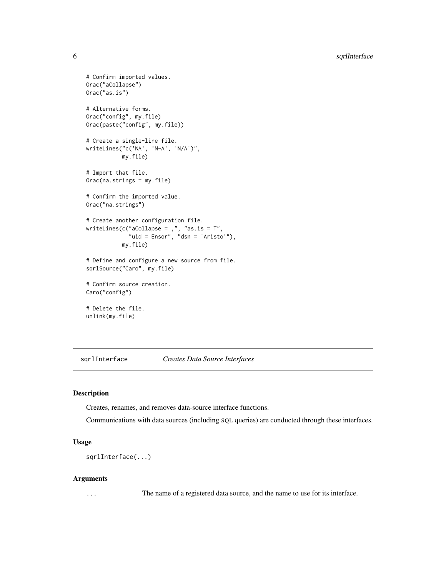```
# Confirm imported values.
Orac("aCollapse")
Orac("as.is")
# Alternative forms.
Orac("config", my.file)
Orac(paste("config", my.file))
# Create a single-line file.
writeLines("c('NA', 'N-A', 'N/A')",
          my.file)
# Import that file.
Orac(na.strings = my.file)
# Confirm the imported value.
Orac("na.strings")
# Create another configuration file.
writeLines(c("aCollapse = ,", "as.is = T",
             "uid = Ensor", "dsn = 'Aristo'"),
           my.file)
# Define and configure a new source from file.
sqrlSource("Caro", my.file)
# Confirm source creation.
Caro("config")
# Delete the file.
unlink(my.file)
```
<span id="page-5-1"></span>sqrlInterface *Creates Data Source Interfaces*

## Description

Creates, renames, and removes data-source interface functions.

Communications with data sources (including SQL queries) are conducted through these interfaces.

## Usage

sqrlInterface(...)

#### Arguments

... The name of a registered data source, and the name to use for its interface.

<span id="page-5-0"></span>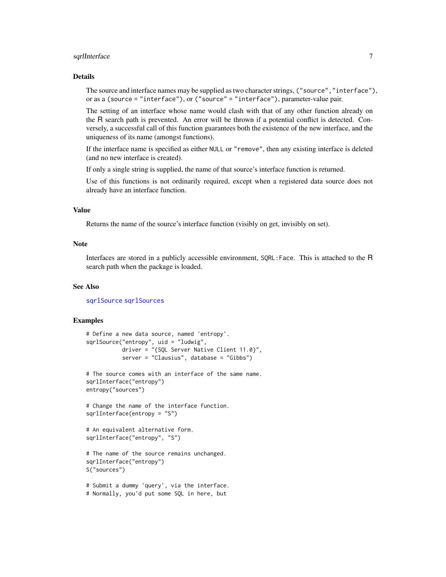## <span id="page-6-0"></span>sqrlInterface 7 7

## Details

The source and interface names may be supplied as two character strings, ("source","interface"), or as a (source = "interface"), or ("source" = "interface"), parameter-value pair.

The setting of an interface whose name would clash with that of any other function already on the R search path is prevented. An error will be thrown if a potential conflict is detected. Conversely, a successful call of this function guarantees both the existence of the new interface, and the uniqueness of its name (amongst functions).

If the interface name is specified as either NULL or "remove", then any existing interface is deleted (and no new interface is created).

If only a single string is supplied, the name of that source's interface function is returned.

Use of this functions is not ordinarily required, except when a registered data source does not already have an interface function.

## Value

Returns the name of the source's interface function (visibly on get, invisibly on set).

## **Note**

Interfaces are stored in a publicly accessible environment, SQRL:Face. This is attached to the R search path when the package is loaded.

## See Also

[sqrlSource](#page-25-1) [sqrlSources](#page-28-1)

## Examples

```
# Define a new data source, named 'entropy'.
sqrlSource("entropy", uid = "ludwig",
          driver = "{SQL Server Native Client 11.0}",
           server = "Clausius", database = "Gibbs")
```

```
# The source comes with an interface of the same name.
sqrlInterface("entropy")
entropy("sources")
```
# Change the name of the interface function. sqrlInterface(entropy = "S")

```
# An equivalent alternative form.
sqrlInterface("entropy", "S")
```

```
# The name of the source remains unchanged.
sqrlInterface("entropy")
S("sources")
```

```
# Submit a dummy 'query', via the interface.
# Normally, you'd put some SQL in here, but
```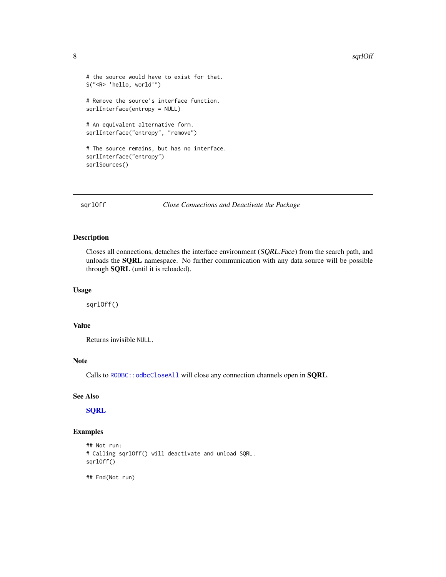#### 8 sqrlOff **8** sqrlOff **8** sqrlOff **8** sqrlOff **8** sqrlOff **8** sqrlOff **8** sqrlOff **8** sqrlOff **8** sqrlOff **8** sqrlOff **8** sqrlOff **8** sqrlOff **8** sqrlOff **8** sqrlOff **8** sqrlOff **8** sqrlOff **8** sqrlOff **8** sqrlOff **8** sqrl

```
# the source would have to exist for that.
S("<R> 'hello, world'")
# Remove the source's interface function.
sqrlInterface(entropy = NULL)
# An equivalent alternative form.
sqrlInterface("entropy", "remove")
# The source remains, but has no interface.
sqrlInterface("entropy")
sqrlSources()
```
<span id="page-7-1"></span>sqrlOff *Close Connections and Deactivate the Package*

## Description

Closes all connections, detaches the interface environment (SQRL:Face) from the search path, and unloads the SQRL namespace. No further communication with any data source will be possible through SQRL (until it is reloaded).

## Usage

sqrlOff()

## Value

Returns invisible NULL.

## Note

Calls to [RODBC::odbcCloseAll](#page-0-0) will close any connection channels open in SQRL.

## See Also

**[SQRL](#page-1-1)** 

## Examples

```
## Not run:
# Calling sqrlOff() will deactivate and unload SQRL.
sqrlOff()
```
## End(Not run)

<span id="page-7-0"></span>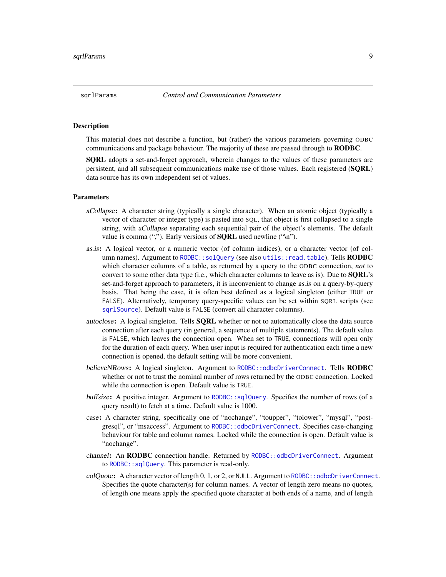<span id="page-8-1"></span><span id="page-8-0"></span>

## **Description**

This material does not describe a function, but (rather) the various parameters governing ODBC communications and package behaviour. The majority of these are passed through to **RODBC**.

**SQRL** adopts a set-and-forget approach, wherein changes to the values of these parameters are persistent, and all subsequent communications make use of those values. Each registered (SQRL) data source has its own independent set of values.

#### Parameters

- aCollapse: A character string (typically a single character). When an atomic object (typically a vector of character or integer type) is pasted into SQL, that object is first collapsed to a single string, with *aCollapse* separating each sequential pair of the object's elements. The default value is comma (","). Early versions of **SQRL** used newline ("\n").
- as.is: A logical vector, or a numeric vector (of column indices), or a character vector (of col-umn names). Argument to [RODBC::sqlQuery](#page-0-0) (see also [utils::read.table](#page-0-0)). Tells **RODBC** which character columns of a table, as returned by a query to the ODBC connection, *not* to convert to some other data type (i.e., which character columns to leave as is). Due to  $\text{SORL's}$ set-and-forget approach to parameters, it is inconvenient to change *as.is* on a query-by-query basis. That being the case, it is often best defined as a logical singleton (either TRUE or FALSE). Alternatively, temporary query-specific values can be set within SQRL scripts (see [sqrlSource](#page-25-1)). Default value is FALSE (convert all character columns).
- autoclose: A logical singleton. Tells SQRL whether or not to automatically close the data source connection after each query (in general, a sequence of multiple statements). The default value is FALSE, which leaves the connection open. When set to TRUE, connections will open only for the duration of each query. When user input is required for authentication each time a new connection is opened, the default setting will be more convenient.
- believeNRows: A logical singleton. Argument to [RODBC::odbcDriverConnect](#page-0-0). Tells RODBC whether or not to trust the nominal number of rows returned by the ODBC connection. Locked while the connection is open. Default value is TRUE.
- buffsize: A positive integer. Argument to [RODBC::sqlQuery](#page-0-0). Specifies the number of rows (of a query result) to fetch at a time. Default value is 1000.
- case: A character string, specifically one of "nochange", "toupper", "tolower", "mysql", "postgresql", or "msaccess". Argument to [RODBC::odbcDriverConnect](#page-0-0). Specifies case-changing behaviour for table and column names. Locked while the connection is open. Default value is "nochange".
- channel: An RODBC connection handle. Returned by [RODBC::odbcDriverConnect](#page-0-0). Argument to [RODBC::sqlQuery](#page-0-0). This parameter is read-only.
- colQuote: A character vector of length 0, 1, or 2, or NULL. Argument to [RODBC::odbcDriverConnect](#page-0-0). Specifies the quote character(s) for column names. A vector of length zero means no quotes, of length one means apply the specified quote character at both ends of a name, and of length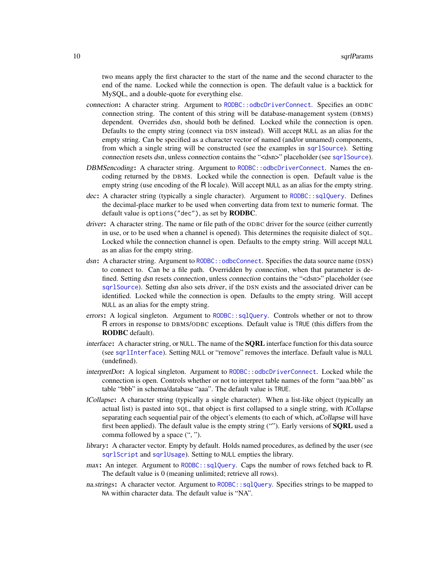<span id="page-9-0"></span>two means apply the first character to the start of the name and the second character to the end of the name. Locked while the connection is open. The default value is a backtick for MySQL, and a double-quote for everything else.

- connection: A character string. Argument to [RODBC::odbcDriverConnect](#page-0-0). Specifies an ODBC connection string. The content of this string will be database-management system (DBMS) dependent. Overrides dsn, should both be defined. Locked while the connection is open. Defaults to the empty string (connect via DSN instead). Will accept NULL as an alias for the empty string. Can be specified as a character vector of named (and/or unnamed) components, from which a single string will be constructed (see the examples in [sqrlSource](#page-25-1)). Setting connection resets dsn, unless connection contains the "<dsn>" placeholder (see [sqrlSource](#page-25-1)).
- DBMSencoding: A character string. Argument to [RODBC::odbcDriverConnect](#page-0-0). Names the encoding returned by the DBMS. Locked while the connection is open. Default value is the empty string (use encoding of the R locale). Will accept NULL as an alias for the empty string.
- dec: A character string (typically a single character). Argument to [RODBC::sqlQuery](#page-0-0). Defines the decimal-place marker to be used when converting data from text to numeric format. The default value is options("dec"), as set by RODBC.
- driver: A character string. The name or file path of the ODBC driver for the source (either currently in use, or to be used when a channel is opened). This determines the requisite dialect of SQL. Locked while the connection channel is open. Defaults to the empty string. Will accept NULL as an alias for the empty string.
- dsn: A character string. Argument to [RODBC::odbcConnect](#page-0-0). Specifies the data source name (DSN) to connect to. Can be a file path. Overridden by connection, when that parameter is defined. Setting dsn resets connection, unless connection contains the "<dsn>" placeholder (see [sqrlSource](#page-25-1)). Setting dsn also sets driver, if the DSN exists and the associated driver can be identified. Locked while the connection is open. Defaults to the empty string. Will accept NULL as an alias for the empty string.
- errors: A logical singleton. Argument to [RODBC::sqlQuery](#page-0-0). Controls whether or not to throw R errors in response to DBMS/ODBC exceptions. Default value is TRUE (this differs from the RODBC default).
- interface: A character string, or NULL. The name of the **SQRL** interface function for this data source (see [sqrlInterface](#page-5-1)). Setting NULL or "remove" removes the interface. Default value is NULL (undefined).
- interpretDot: A logical singleton. Argument to [RODBC::odbcDriverConnect](#page-0-0). Locked while the connection is open. Controls whether or not to interpret table names of the form "aaa.bbb" as table "bbb" in schema/database "aaa". The default value is TRUE.
- lCollapse: A character string (typically a single character). When a list-like object (typically an actual list) is pasted into SQL, that object is first collapsed to a single string, with lCollapse separating each sequential pair of the object's elements (to each of which, *aCollapse* will have first been applied). The default value is the empty string (""). Early versions of **SQRL** used a comma followed by a space (", ").
- library: A character vector. Empty by default. Holds named procedures, as defined by the user (see [sqrlScript](#page-12-1) and [sqrlUsage](#page-29-1)). Setting to NULL empties the library.
- max: An integer. Argument to [RODBC::sqlQuery](#page-0-0). Caps the number of rows fetched back to R. The default value is 0 (meaning unlimited; retrieve all rows).
- na.strings: A character vector. Argument to [RODBC::sqlQuery](#page-0-0). Specifies strings to be mapped to NA within character data. The default value is "NA".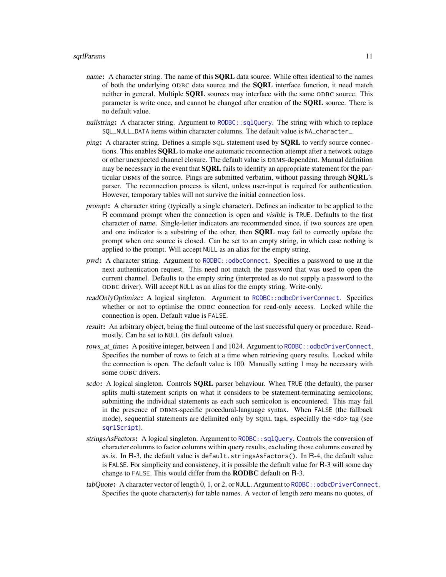- <span id="page-10-0"></span>name: A character string. The name of this **SQRL** data source. While often identical to the names of both the underlying ODBC data source and the SQRL interface function, it need match neither in general. Multiple **SORL** sources may interface with the same ODBC source. This parameter is write once, and cannot be changed after creation of the SQRL source. There is no default value.
- nullstring: A character string. Argument to [RODBC::sqlQuery](#page-0-0). The string with which to replace SQL\_NULL\_DATA items within character columns. The default value is NA\_character\_.
- ping: A character string. Defines a simple SQL statement used by **SQRL** to verify source connections. This enables **SQRL** to make one automatic reconnection attempt after a network outage or other unexpected channel closure. The default value is DBMS-dependent. Manual definition may be necessary in the event that **SQRL** fails to identify an appropriate statement for the particular DBMS of the source. Pings are submitted verbatim, without passing through SQRL's parser. The reconnection process is silent, unless user-input is required for authentication. However, temporary tables will not survive the initial connection loss.
- prompt: A character string (typically a single character). Defines an indicator to be applied to the R command prompt when the connection is open and visible is TRUE. Defaults to the first character of name. Single-letter indicators are recommended since, if two sources are open and one indicator is a substring of the other, then **SQRL** may fail to correctly update the prompt when one source is closed. Can be set to an empty string, in which case nothing is applied to the prompt. Will accept NULL as an alias for the empty string.
- pwd: A character string. Argument to [RODBC::odbcConnect](#page-0-0). Specifies a password to use at the next authentication request. This need not match the password that was used to open the current channel. Defaults to the empty string (interpreted as do not supply a password to the ODBC driver). Will accept NULL as an alias for the empty string. Write-only.
- readOnlyOptimize: A logical singleton. Argument to [RODBC::odbcDriverConnect](#page-0-0). Specifies whether or not to optimise the ODBC connection for read-only access. Locked while the connection is open. Default value is FALSE.
- result: An arbitrary object, being the final outcome of the last successful query or procedure. Readmostly. Can be set to NULL (its default value).
- rows at time: A positive integer, between 1 and 1024. Argument to [RODBC::odbcDriverConnect](#page-0-0). Specifies the number of rows to fetch at a time when retrieving query results. Locked while the connection is open. The default value is 100. Manually setting 1 may be necessary with some ODBC drivers.
- scdo: A logical singleton. Controls **SQRL** parser behaviour. When TRUE (the default), the parser splits multi-statement scripts on what it considers to be statement-terminating semicolons; submitting the individual statements as each such semicolon is encountered. This may fail in the presence of DBMS-specific procedural-language syntax. When FALSE (the fallback mode), sequential statements are delimited only by SQRL tags, especially the <do> tag (see [sqrlScript](#page-12-1)).
- stringsAsFactors: A logical singleton. Argument to [RODBC::sqlQuery](#page-0-0). Controls the conversion of character columns to factor columns within query results, excluding those columns covered by as.is. In R-3, the default value is default.stringsAsFactors(). In R-4, the default value is FALSE. For simplicity and consistency, it is possible the default value for R-3 will some day change to FALSE. This would differ from the RODBC default on R-3.
- tabQuote: A character vector of length 0, 1, or 2, or NULL. Argument to [RODBC::odbcDriverConnect](#page-0-0). Specifies the quote character(s) for table names. A vector of length zero means no quotes, of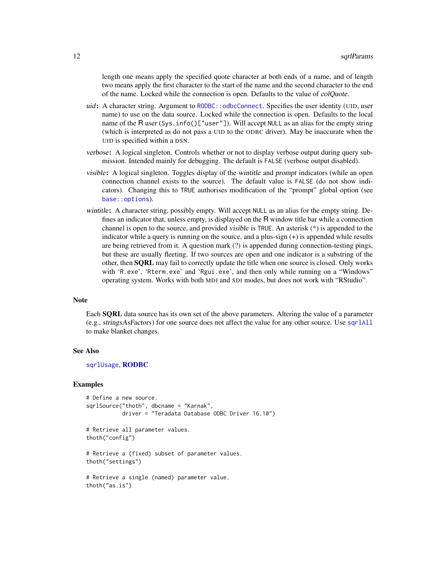<span id="page-11-0"></span>length one means apply the specified quote character at both ends of a name, and of length two means apply the first character to the start of the name and the second character to the end of the name. Locked while the connection is open. Defaults to the value of colQuote.

- uid: A character string. Argument to RODBC:: odbcConnect. Specifies the user identity (UID, user name) to use on the data source. Locked while the connection is open. Defaults to the local name of the R user (Sys.info()["user"]). Will accept NULL as an alias for the empty string (which is interpreted as do not pass a UID to the ODBC driver). May be inaccurate when the UID is specified within a DSN.
- verbose: A logical singleton. Controls whether or not to display verbose output during query submission. Intended mainly for debugging. The default is FALSE (verbose output disabled).
- visible: A logical singleton. Toggles display of the wintitle and prompt indicators (while an open connection channel exists to the source). The default value is FALSE (do not show indicators). Changing this to TRUE authorises modification of the "prompt" global option (see [base::options](#page-0-0)).
- wintitle: A character string, possibly empty. Will accept NULL as an alias for the empty string. Defines an indicator that, unless empty, is displayed on the R window title bar while a connection channel is open to the source, and provided visible is TRUE. An asterisk (\*) is appended to the indicator while a query is running on the source, and a plus-sign (+) is appended while results are being retrieved from it. A question mark (?) is appended during connection-testing pings, but these are usually fleeting. If two sources are open and one indicator is a substring of the other, then SQRL may fail to correctly update the title when one source is closed. Only works with 'R.exe', 'Rterm.exe' and 'Rgui.exe', and then only while running on a "Windows" operating system. Works with both MDI and SDI modes, but does not work with "RStudio".

## **Note**

Each SQRL data source has its own set of the above parameters. Altering the value of a parameter (e.g., stringsAsFactors) for one source does not affect the value for any other source. Use [sqrlAll](#page-2-1) to make blanket changes.

## See Also

#### [sqrlUsage](#page-29-1), [RODBC](#page-0-0)

## Examples

```
# Define a new source.
sqrlSource("thoth", dbcname = "Karnak",
          driver = "Teradata Database ODBC Driver 16.10")
# Retrieve all parameter values.
thoth("config")
# Retrieve a (fixed) subset of parameter values.
thoth("settings")
# Retrieve a single (named) parameter value.
thoth("as.is")
```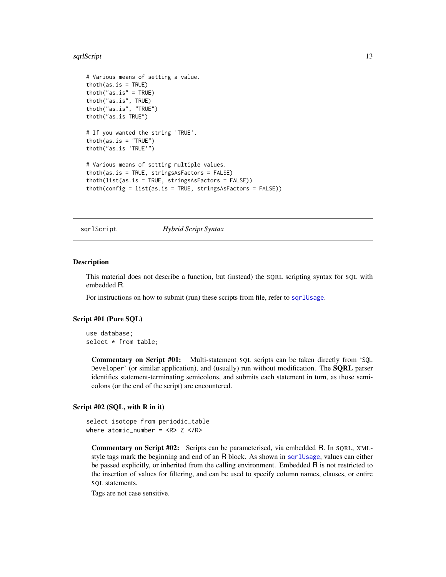#### <span id="page-12-0"></span>sqrlScript 13

```
# Various means of setting a value.
thoth(as.is = TRUE)thoth("as.is" = TRUE)
thoth("as.is", TRUE)
thoth("as.is", "TRUE")
thoth("as.is TRUE")
# If you wanted the string 'TRUE'.
thoth(as.is = "TRUE")thoth("as.is 'TRUE'")
# Various means of setting multiple values.
thoth(as.is = TRUE, stringsAsFactors = FALSE)
thoth(list(as.is = TRUE, stringsAsFactors = FALSE))
thoth(config = list(as.is = TRUE, stringsAsFactors = FALSE))
```
<span id="page-12-1"></span>sqrlScript *Hybrid Script Syntax*

#### Description

This material does not describe a function, but (instead) the SQRL scripting syntax for SQL with embedded R.

For instructions on how to submit (run) these scripts from file, refer to [sqrlUsage](#page-29-1).

## Script #01 (Pure SQL)

use database; select \* from table;

Commentary on Script #01: Multi-statement SQL scripts can be taken directly from 'SQL Developer' (or similar application), and (usually) run without modification. The SQRL parser identifies statement-terminating semicolons, and submits each statement in turn, as those semicolons (or the end of the script) are encountered.

## Script #02 (SQL, with R in it)

```
select isotope from periodic_table
where atomic_number = <R>Z</math> <math>\langle R \rangle</math>
```
Commentary on Script #02: Scripts can be parameterised, via embedded R. In SQRL, XMLstyle tags mark the beginning and end of an R block. As shown in [sqrlUsage](#page-29-1), values can either be passed explicitly, or inherited from the calling environment. Embedded R is not restricted to the insertion of values for filtering, and can be used to specify column names, clauses, or entire SQL statements.

Tags are not case sensitive.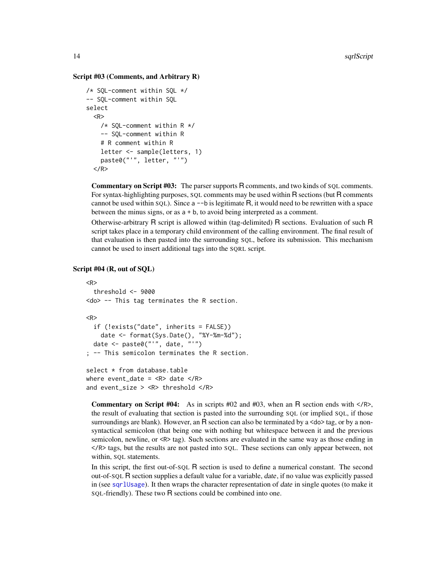## Script #03 (Comments, and Arbitrary R)

```
/* SQL-comment within SQL */
-- SQL-comment within SQL
select
  <R>/* SQL-comment within R */
    -- SQL-comment within R
    # R comment within R
    letter <- sample(letters, 1)
    paste0("'", letter, "'")
  </R>
```
Commentary on Script #03: The parser supports R comments, and two kinds of SQL comments. For syntax-highlighting purposes, SQL comments may be used within R sections (but R comments cannot be used within  $SQL$ ). Since a  $\neg$ -b is legitimate R, it would need to be rewritten with a space between the minus signs, or as a + b, to avoid being interpreted as a comment.

Otherwise-arbitrary R script is allowed within (tag-delimited) R sections. Evaluation of such R script takes place in a temporary child environment of the calling environment. The final result of that evaluation is then pasted into the surrounding SQL, before its submission. This mechanism cannot be used to insert additional tags into the SQRL script.

## Script #04 (R, out of SQL)

```
<R>
  threshold <- 9000
<do> -- This tag terminates the R section.
<R>
  if (!exists("date", inherits = FALSE))
    date <- format(Sys.Date(), "%Y-%m-%d");
 date <- paste0("'", date, "'")
; -- This semicolon terminates the R section.
select * from database.table
```

```
where event_date = <R> date </R>
and event_size > <R> threshold </R>
```
**Commentary on Script #04:** As in scripts #02 and #03, when an R section ends with  $\langle R \rangle$ , the result of evaluating that section is pasted into the surrounding SQL (or implied SQL, if those surroundings are blank). However, an R section can also be terminated by a  $\lt d$  as a nonsyntactical semicolon (that being one with nothing but whitespace between it and the previous semicolon, newline, or  $\langle R \rangle$  tag). Such sections are evaluated in the same way as those ending in </R> tags, but the results are not pasted into SQL. These sections can only appear between, not within, SQL statements.

In this script, the first out-of-SQL R section is used to define a numerical constant. The second out-of-SQL R section supplies a default value for a variable, date, if no value was explicitly passed in (see [sqrlUsage](#page-29-1)). It then wraps the character representation of date in single quotes (to make it SQL-friendly). These two R sections could be combined into one.

<span id="page-13-0"></span>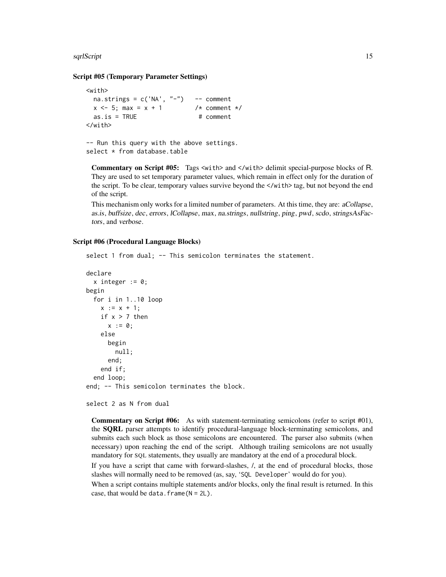#### sqrlScript 15

#### Script #05 (Temporary Parameter Settings)

```
<with>
 na.strings = c('NA', "-'") -- comment
 x \le -5; max = x + 1 /* comment */
 as.is = TRUE # comment
</with>
-- Run this query with the above settings.
```
select \* from database.table

Commentary on Script #05: Tags <with> and </with> delimit special-purpose blocks of R. They are used to set temporary parameter values, which remain in effect only for the duration of the script. To be clear, temporary values survive beyond the  $\langle \text{with} \rangle$  tag, but not beyond the end of the script.

This mechanism only works for a limited number of parameters. At this time, they are: aCollapse, as.is, buffsize, dec, errors, lCollapse, max, na.strings, nullstring, ping, pwd, scdo, stringsAsFactors, and verbose.

#### Script #06 (Procedural Language Blocks)

```
select 1 from dual; -- This semicolon terminates the statement.
```

```
declare
  x integer := 0;begin
  for i in 1..10 loop
   x := x + 1;
    if x > 7 then
      x := 0;
    else
      begin
        null;
      end;
    end if;
  end loop;
end; -- This semicolon terminates the block.
```

```
select 2 as N from dual
```
Commentary on Script #06: As with statement-terminating semicolons (refer to script #01), the SQRL parser attempts to identify procedural-language block-terminating semicolons, and submits each such block as those semicolons are encountered. The parser also submits (when necessary) upon reaching the end of the script. Although trailing semicolons are not usually mandatory for SQL statements, they usually are mandatory at the end of a procedural block.

If you have a script that came with forward-slashes, /, at the end of procedural blocks, those slashes will normally need to be removed (as, say, 'SQL Developer' would do for you).

When a script contains multiple statements and/or blocks, only the final result is returned. In this case, that would be data.frame( $N = 2L$ ).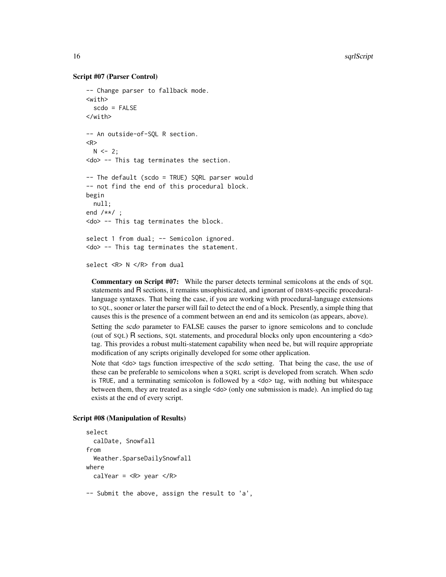## Script #07 (Parser Control)

```
-- Change parser to fallback mode.
<with>
  scdo = FALSE
</with>
-- An outside-of-SQL R section.
<R>
 N < -2;<do> -- This tag terminates the section.
-- The default (scdo = TRUE) SQRL parser would
-- not find the end of this procedural block.
begin
  null;
end /**/ ;
<do> -- This tag terminates the block.
select 1 from dual; -- Semicolon ignored.
<do> -- This tag terminates the statement.
```
select <R> N </R> from dual

Commentary on Script #07: While the parser detects terminal semicolons at the ends of SQL statements and R sections, it remains unsophisticated, and ignorant of DBMS-specific procedurallanguage syntaxes. That being the case, if you are working with procedural-language extensions to SQL, sooner or later the parser will fail to detect the end of a block. Presently, a simple thing that causes this is the presence of a comment between an end and its semicolon (as appears, above).

Setting the scdo parameter to FALSE causes the parser to ignore semicolons and to conclude (out of SQL) R sections, SQL statements, and procedural blocks only upon encountering a <do> tag. This provides a robust multi-statement capability when need be, but will require appropriate modification of any scripts originally developed for some other application.

Note that <do> tags function irrespective of the scdo setting. That being the case, the use of these can be preferable to semicolons when a SQRL script is developed from scratch. When scdo is TRUE, and a terminating semicolon is followed by a  $\langle$ do $\rangle$  tag, with nothing but whitespace between them, they are treated as a single <do> (only one submission is made). An implied do tag exists at the end of every script.

#### Script #08 (Manipulation of Results)

```
select
  calDate, Snowfall
from
  Weather.SparseDailySnowfall
where
 calYear = <R> year </R>
-- Submit the above, assign the result to 'a',
```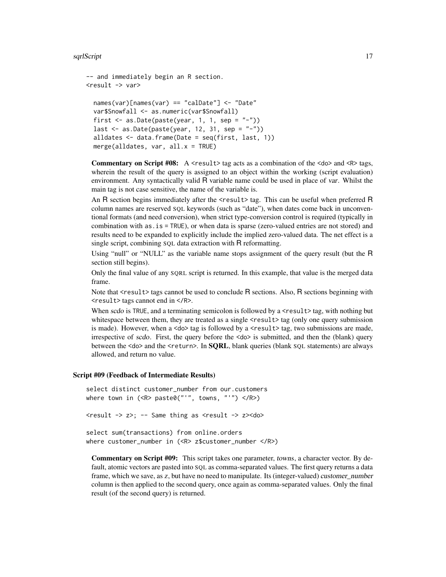#### sqrlScript 17

```
-- and immediately begin an R section.
<result -> var>
  names(var)[names(var) == "calDate"] <- "Date"
```

```
var$Snowfall <- as.numeric(var$Snowfall)
first \leq as.Date(paste(year, 1, 1, sep = "-"))
last \leq as.Date(paste(year, 12, 31, sep = "-"))
alldates \leq data.frame(Date = seq(first, last, 1))
merge(alldates, var, all.x = TRUE)
```
**Commentary on Script #08:** A  $\le$  result  $>$  tag acts as a combination of the  $\le$  do $>$  and  $\le$  R $>$  tags, wherein the result of the query is assigned to an object within the working (script evaluation) environment. Any syntactically valid R variable name could be used in place of var. Whilst the main tag is not case sensitive, the name of the variable is.

An R section begins immediately after the  $\langle$ result $\rangle$  tag. This can be useful when preferred R column names are reserved SQL keywords (such as "date"), when dates come back in unconventional formats (and need conversion), when strict type-conversion control is required (typically in combination with as.is = TRUE), or when data is sparse (zero-valued entries are not stored) and results need to be expanded to explicitly include the implied zero-valued data. The net effect is a single script, combining SQL data extraction with R reformatting.

Using "null" or "NULL" as the variable name stops assignment of the query result (but the R section still begins).

Only the final value of any SQRL script is returned. In this example, that value is the merged data frame.

Note that <result> tags cannot be used to conclude R sections. Also, R sections beginning with <result> tags cannot end in </R>.

When scdo is TRUE, and a terminating semicolon is followed by a  $\le$ result $\ge$  tag, with nothing but whitespace between them, they are treated as a single  $\langle$ result $\rangle$  tag (only one query submission is made). However, when a  $\langle \text{do} \rangle$  tag is followed by a  $\langle \text{result} \rangle$  tag, two submissions are made, irrespective of scdo. First, the query before the  $\langle$ do $\rangle$  is submitted, and then the (blank) query between the <do> and the <return>. In **SORL**, blank queries (blank SOL statements) are always allowed, and return no value.

#### Script #09 (Feedback of Intermediate Results)

```
select distinct customer_number from our.customers
where town in (\langle R \rangle \text{ paste0}(T', T', T_0, T', T'')) \langle R \rangle)<result -> z>; -- Same thing as <result -> z><do>
select sum(transactions) from online.orders
where customer_number in (<R> z$customer_number </R>)
```
Commentary on Script #09: This script takes one parameter, towns, a character vector. By default, atomic vectors are pasted into SQL as comma-separated values. The first query returns a data frame, which we save, as z, but have no need to manipulate. Its (integer-valued) customer\_number column is then applied to the second query, once again as comma-separated values. Only the final result (of the second query) is returned.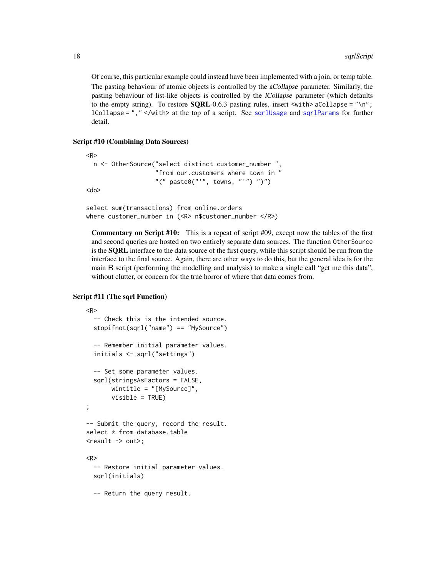Of course, this particular example could instead have been implemented with a join, or temp table. The pasting behaviour of atomic objects is controlled by the aCollapse parameter. Similarly, the pasting behaviour of list-like objects is controlled by the lCollapse parameter (which defaults to the empty string). To restore  $\text{SQRL}-0.6.3$  pasting rules, insert  $\text{with}$  aCollapse = "\n"; lCollapse = ","  $\langle$ with at the top of a script. See [sqrlUsage](#page-29-1) and [sqrlParams](#page-8-1) for further detail.

#### Script #10 (Combining Data Sources)

```
<R>
 n <- OtherSource("select distinct customer_number ",
                    "from our.customers where town in "
                   "(" paste0("''", towns, "''")")")")
<do>
```

```
select sum(transactions) from online.orders
where customer_number in (<R> n$customer_number </R>)
```
Commentary on Script #10: This is a repeat of script #09, except now the tables of the first and second queries are hosted on two entirely separate data sources. The function OtherSource is the **SQRL** interface to the data source of the first query, while this script should be run from the interface to the final source. Again, there are other ways to do this, but the general idea is for the main R script (performing the modelling and analysis) to make a single call "get me this data", without clutter, or concern for the true horror of where that data comes from.

## Script #11 (The sqrl Function)

```
<R>
  -- Check this is the intended source.
  stopifnot(sqrl("name") == "MySource")
  -- Remember initial parameter values.
  initials <- sqrl("settings")
  -- Set some parameter values.
  sqrl(stringsAsFactors = FALSE,
      wintitle = "[MySource]",
      visible = TRUE)
;
-- Submit the query, record the result.
select * from database.table
<result -> out>;
<R>
  -- Restore initial parameter values.
 sqrl(initials)
  -- Return the query result.
```
<span id="page-17-0"></span>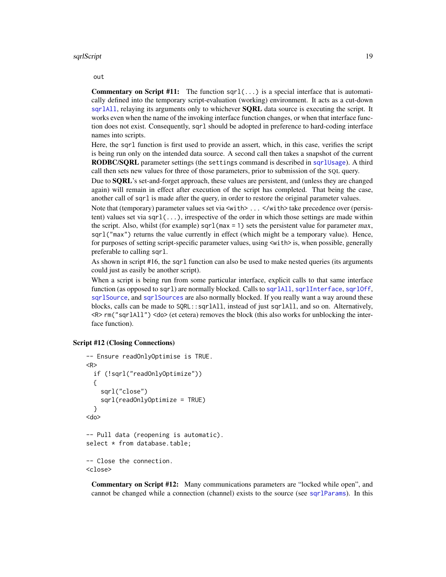<span id="page-18-0"></span>out

**Commentary on Script #11:** The function  $\text{sqrt}(\ldots)$  is a special interface that is automatically defined into the temporary script-evaluation (working) environment. It acts as a cut-down [sqrlAll](#page-2-1), relaying its arguments only to whichever **SQRL** data source is executing the script. It works even when the name of the invoking interface function changes, or when that interface function does not exist. Consequently, sqrl should be adopted in preference to hard-coding interface names into scripts.

Here, the sqrl function is first used to provide an assert, which, in this case, verifies the script is being run only on the intended data source. A second call then takes a snapshot of the current RODBC/SQRL parameter settings (the settings command is described in [sqrlUsage](#page-29-1)). A third call then sets new values for three of those parameters, prior to submission of the SQL query.

Due to SQRL's set-and-forget approach, these values are persistent, and (unless they are changed again) will remain in effect after execution of the script has completed. That being the case, another call of sqrl is made after the query, in order to restore the original parameter values.

Note that (temporary) parameter values set via  $\langle \text{with} \rangle$ ...  $\langle \text{with} \rangle$  take precedence over (persistent) values set via  $\text{sqrt}(...)$ , irrespective of the order in which those settings are made within the script. Also, whilst (for example) sqr1( $max = 1$ ) sets the persistent value for parameter max, sqrl("max") returns the value currently in effect (which might be a temporary value). Hence, for purposes of setting script-specific parameter values, using  $\leq$  with> is, when possible, generally preferable to calling sqrl.

As shown in script #16, the sqrl function can also be used to make nested queries (its arguments could just as easily be another script).

When a script is being run from some particular interface, explicit calls to that same interface function (as opposed to sqrl) are normally blocked. Calls to [sqrlAll](#page-2-1), [sqrlInterface](#page-5-1), [sqrlOff](#page-7-1), [sqrlSource](#page-25-1), and [sqrlSources](#page-28-1) are also normally blocked. If you really want a way around these blocks, calls can be made to SQRL::sqrlAll, instead of just sqrlAll, and so on. Alternatively, <R> rm("sqrlAll") <do> (et cetera) removes the block (this also works for unblocking the interface function).

## Script #12 (Closing Connections)

```
-- Ensure readOnlyOptimise is TRUE.
<R>
  if (!sqrl("readOnlyOptimize"))
 {
   sqrl("close")
   sqrl(readOnlyOptimize = TRUE)
  }
<do>
-- Pull data (reopening is automatic).
select * from database.table;
-- Close the connection.
<close>
```
Commentary on Script #12: Many communications parameters are "locked while open", and cannot be changed while a connection (channel) exists to the source (see [sqrlParams](#page-8-1)). In this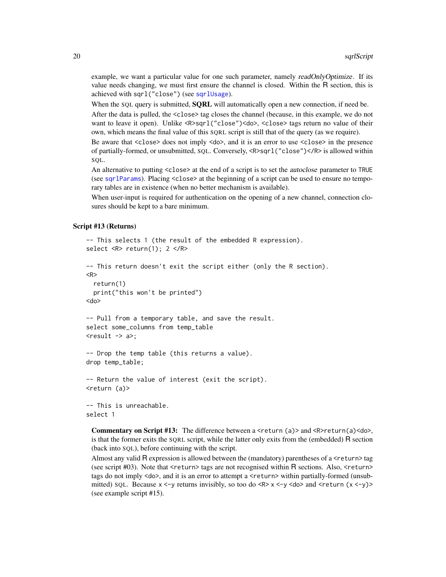<span id="page-19-0"></span>example, we want a particular value for one such parameter, namely readOnlyOptimize. If its value needs changing, we must first ensure the channel is closed. Within the R section, this is achieved with sqrl("close") (see [sqrlUsage](#page-29-1)).

When the SQL query is submitted, **SQRL** will automatically open a new connection, if need be.

After the data is pulled, the <close> tag closes the channel (because, in this example, we do not want to leave it open). Unlike <R>sqrl("close")<do>, <close> tags return no value of their own, which means the final value of this SQRL script is still that of the query (as we require).

Be aware that <close> does not imply <do>, and it is an error to use <close> in the presence of partially-formed, or unsubmitted, SQL. Conversely, <R>sqrl("close")</R> is allowed within SQL.

An alternative to putting <close> at the end of a script is to set the autoclose parameter to TRUE (see [sqrlParams](#page-8-1)). Placing <close> at the beginning of a script can be used to ensure no temporary tables are in existence (when no better mechanism is available).

When user-input is required for authentication on the opening of a new channel, connection closures should be kept to a bare minimum.

#### Script #13 (Returns)

```
-- This selects 1 (the result of the embedded R expression).
select <R> return(1); 2 </R>
-- This return doesn't exit the script either (only the R section).
<R>
  return(1)
  print("this won't be printed")
<do>
-- Pull from a temporary table, and save the result.
select some_columns from temp_table
<result \rightarrow a>;
-- Drop the temp table (this returns a value).
drop temp_table;
-- Return the value of interest (exit the script).
<return (a)>
-- This is unreachable.
select 1
```
**Commentary on Script #13:** The difference between a  $\le$ return (a)> and  $\le$ R>return(a) $\le$ do>, is that the former exits the SQRL script, while the latter only exits from the (embedded) R section (back into SQL), before continuing with the script.

Almost any valid  $\overline{R}$  expression is allowed between the (mandatory) parentheses of a  $\le$ return $\ge$  tag (see script  $\#03$ ). Note that  $\le$ return $>$  tags are not recognised within R sections. Also,  $\le$ return $>$ tags do not imply <do>, and it is an error to attempt a <return> within partially-formed (unsubmitted) SQL. Because  $x \le y$  returns invisibly, so too do  $\langle R \rangle x \langle y \rangle \langle d\phi$  and  $\langle return (x \langle y \rangle) \rangle$ (see example script #15).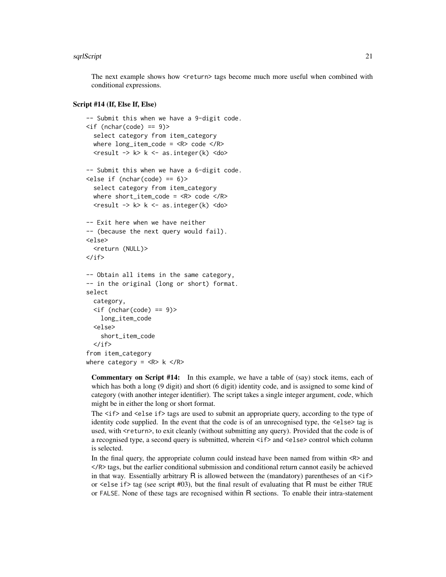#### sqrlScript 21

The next example shows how <return> tags become much more useful when combined with conditional expressions.

## Script #14 (If, Else If, Else)

```
-- Submit this when we have a 9-digit code.
\langleif (nchar(code) == 9)>
  select category from item_category
  where long_time\_code = <R>code</code> <math display="inline">&lt;</math> <math display="inline">P&gt;</math><result -> k> k <- as.integer(k) <do>
-- Submit this when we have a 6-digit code.
\text{else if} (nchar(code) == 6)>
  select category from item_category
  where short_item_code = <R> code </R>
  <result \rightarrow k> k \leftarrow as.integer(k) \leqdo>
-- Exit here when we have neither
-- (because the next query would fail).
<else>
  <return (NULL)>
\langle/if>
-- Obtain all items in the same category,
-- in the original (long or short) format.
select
  category,
  \langleif (nchar(code) == 9)>
    long_item_code
  <else>
    short_item_code
  \langle/if>
from item_category
where category = < R k < R
```
Commentary on Script #14: In this example, we have a table of (say) stock items, each of which has both a long (9 digit) and short (6 digit) identity code, and is assigned to some kind of category (with another integer identifier). The script takes a single integer argument, code, which might be in either the long or short format.

The  $\langle i \rangle$  and  $\langle e \rangle$  are if  $\rangle$  tags are used to submit an appropriate query, according to the type of identity code supplied. In the event that the code is of an unrecognised type, the <else> tag is used, with <return>, to exit cleanly (without submitting any query). Provided that the code is of a recognised type, a second query is submitted, wherein  $\langle i\uparrow \rangle$  and  $\langle$ else $\rangle$  control which column is selected.

In the final query, the appropriate column could instead have been named from within  $\langle R \rangle$  and </R> tags, but the earlier conditional submission and conditional return cannot easily be achieved in that way. Essentially arbitrary  $\overline{R}$  is allowed between the (mandatory) parentheses of an  $\langle$ if> or  $\le$ else if> tag (see script #03), but the final result of evaluating that R must be either TRUE or FALSE. None of these tags are recognised within R sections. To enable their intra-statement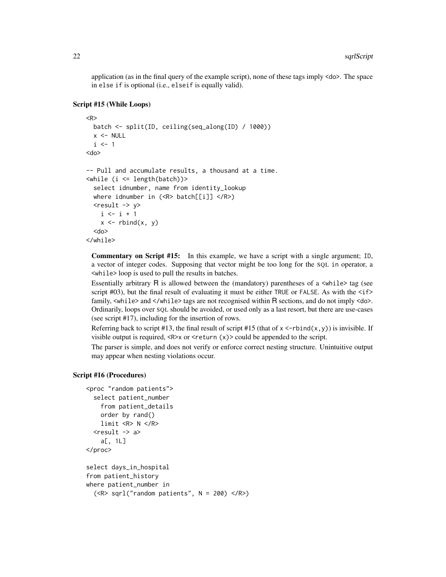application (as in the final query of the example script), none of these tags imply <do>. The space in else if is optional (i.e., elseif is equally valid).

## Script #15 (While Loops)

```
<R>
 batch <- split(ID, ceiling(seq_along(ID) / 1000))
 x < - NULL
  i \leq 1<do>
-- Pull and accumulate results, a thousand at a time.
\langlewhile (i \langle= length(batch))>
  select idnumber, name from identity_lookup
 where idnumber in (<R> batch[[i]] </R>)
  <result \rightarrow y>
    i \leftarrow i + 1x \le rbind(x, y)
  <do>
</while>
```
Commentary on Script #15: In this example, we have a script with a single argument; ID, a vector of integer codes. Supposing that vector might be too long for the SQL in operator, a <while> loop is used to pull the results in batches.

Essentially arbitrary R is allowed between the (mandatory) parentheses of a <while> tag (see script #03), but the final result of evaluating it must be either TRUE or FALSE. As with the  $\langle$ if> family, <while> and </while> tags are not recognised within R sections, and do not imply <do>. Ordinarily, loops over SQL should be avoided, or used only as a last resort, but there are use-cases (see script #17), including for the insertion of rows.

Referring back to script #13, the final result of script #15 (that of  $x \leq -rbind(x, y)$ ) is invisible. If visible output is required,  $\langle R \rangle x$  or  $\langle \text{return } (x) \rangle$  could be appended to the script.

The parser is simple, and does not verify or enforce correct nesting structure. Unintuitive output may appear when nesting violations occur.

## Script #16 (Procedures)

```
<proc "random patients">
  select patient_number
    from patient_details
    order by rand()
    limit <R> N </R>
  <result \rightarrow a>a[, 1L]
</proc>
select days_in_hospital
from patient_history
where patient_number in
```

```
(<R> sqrl("random patients", N = 200) </R>)
```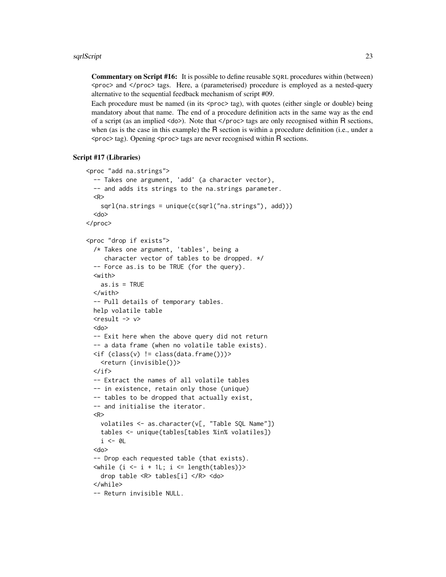Commentary on Script #16: It is possible to define reusable SQRL procedures within (between) <proc> and </proc> tags. Here, a (parameterised) procedure is employed as a nested-query alternative to the sequential feedback mechanism of script #09.

Each procedure must be named (in its <proc> tag), with quotes (either single or double) being mandatory about that name. The end of a procedure definition acts in the same way as the end of a script (as an implied <do>). Note that </proc> tags are only recognised within R sections, when (as is the case in this example) the R section is within a procedure definition (i.e., under a  $<$ proc $>$  tag). Opening  $<$ proc $>$  tags are never recognised within R sections.

## Script #17 (Libraries)

```
<proc "add na.strings">
  -- Takes one argument, 'add' (a character vector),
  -- and adds its strings to the na.strings parameter.
  <R>sgrl(na.strings = unique(c(sgrl("na.strings"), add)))<do>
</proc>
<proc "drop if exists">
  /* Takes one argument, 'tables', being a
     character vector of tables to be dropped. */
  -- Force as.is to be TRUE (for the query).
  <with>
    as.is = TRUE</with>
  -- Pull details of temporary tables.
 help volatile table
  <result \rightarrow v>
  <do>
  -- Exit here when the above query did not return
  -- a data frame (when no volatile table exists).
 \langleif (class(v) != class(data.frame()))>
    <return (invisible())>
  \langle/if>
  -- Extract the names of all volatile tables
  -- in existence, retain only those (unique)
  -- tables to be dropped that actually exist,
  -- and initialise the iterator.
  <R>
    volatiles <- as.character(v[, "Table SQL Name"])
    tables <- unique(tables[tables %in% volatiles])
    i \leq -\emptyset<do>
  -- Drop each requested table (that exists).
  \langlewhile (i \langle -i + 1); i \langle -i + 1 \rangle length(tables))>
    drop table <R> tables[i] </R> <do>
  </while>
  -- Return invisible NULL.
```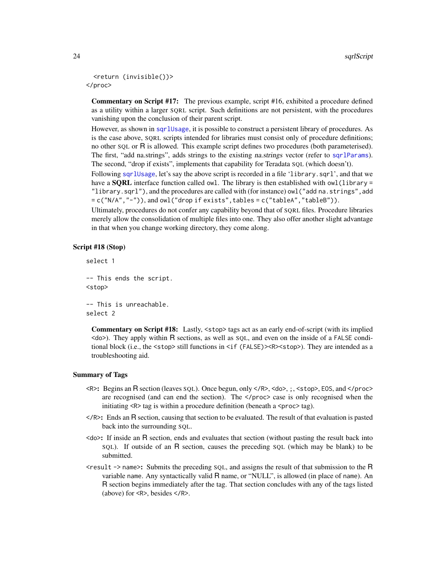```
<return (invisible())>
</proc>
```
Commentary on Script #17: The previous example, script #16, exhibited a procedure defined as a utility within a larger SQRL script. Such definitions are not persistent, with the procedures vanishing upon the conclusion of their parent script.

However, as shown in [sqrlUsage](#page-29-1), it is possible to construct a persistent library of procedures. As is the case above, SQRL scripts intended for libraries must consist only of procedure definitions; no other SQL or R is allowed. This example script defines two procedures (both parameterised). The first, "add na.strings", adds strings to the existing na.strings vector (refer to [sqrlParams](#page-8-1)). The second, "drop if exists", implements that capability for Teradata SQL (which doesn't).

Following [sqrlUsage](#page-29-1), let's say the above script is recorded in a file 'library.sqrl', and that we have a **SQRL** interface function called owl. The library is then established with owl (library = "library.sqrl"), and the procedures are called with (for instance) owl("add na.strings",add = c("N/A","-")), and owl("drop if exists",tables = c("tableA","tableB")).

Ultimately, procedures do not confer any capability beyond that of SQRL files. Procedure libraries merely allow the consolidation of multiple files into one. They also offer another slight advantage in that when you change working directory, they come along.

## Script #18 (Stop)

```
select 1
-- This ends the script.
<stop>
-- This is unreachable.
select 2
```
Commentary on Script #18: Lastly, <stop> tags act as an early end-of-script (with its implied  $\langle$ do $\rangle$ ). They apply within R sections, as well as SQL, and even on the inside of a FALSE conditional block (i.e., the  $\text{stop}$ ) still functions in  $\text{if (FALSE)}$  >  $\text{exp}$  >  $\text{stop}$ ). They are intended as a troubleshooting aid.

#### Summary of Tags

- <R>: Begins an R section (leaves SQL). Once begun, only </R>, <do>, ;, <stop>, EOS, and </proc> are recognised (and can end the section). The </proc> case is only recognised when the initiating  $\langle R \rangle$  tag is within a procedure definition (beneath a  $\langle p \rangle$  tag).
- </R>: Ends an R section, causing that section to be evaluated. The result of that evaluation is pasted back into the surrounding SQL.
- <do>: If inside an R section, ends and evaluates that section (without pasting the result back into SQL). If outside of an R section, causes the preceding SQL (which may be blank) to be submitted.
- $\epsilon$   $\epsilon$   $\epsilon$   $\epsilon$   $\epsilon$   $\epsilon$   $\epsilon$   $\epsilon$  and assigns the result of that submission to the R variable name. Any syntactically valid R name, or "NULL", is allowed (in place of name). An R section begins immediately after the tag. That section concludes with any of the tags listed (above) for <R>, besides </R>.

<span id="page-23-0"></span>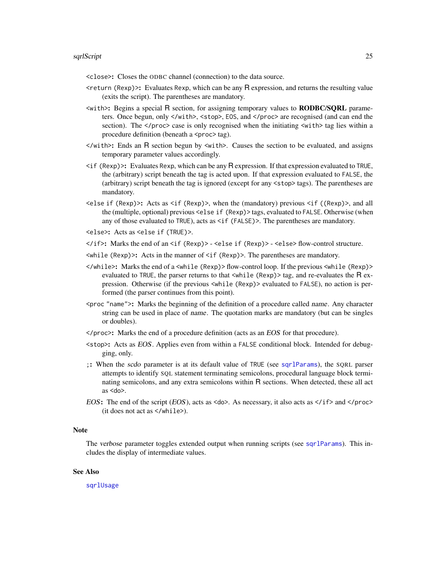<span id="page-24-0"></span><close>: Closes the ODBC channel (connection) to the data source.

- $\epsilon$ return (Rexp) $\epsilon$ : Evaluates Rexp, which can be any R expression, and returns the resulting value (exits the script). The parentheses are mandatory.
- <with>: Begins a special R section, for assigning temporary values to RODBC/SQRL parameters. Once begun, only </with>, <stop>, EOS, and </proc> are recognised (and can end the section). The  $\langle$ /proc $\rangle$  case is only recognised when the initiating  $\langle$ with $\rangle$  tag lies within a procedure definition (beneath a <proc> tag).
- </with>: Ends an R section begun by <with>. Causes the section to be evaluated, and assigns temporary parameter values accordingly.
- <if (Rexp)>: Evaluates Rexp, which can be any R expression. If that expression evaluated to TRUE, the (arbitrary) script beneath the tag is acted upon. If that expression evaluated to FALSE, the (arbitrary) script beneath the tag is ignored (except for any <stop> tags). The parentheses are mandatory.
- <else if (Rexp)>: Acts as <if (Rexp)>, when the (mandatory) previous <if ((Rexp)>, and all the (multiple, optional) previous <else if (Rexp)> tags, evaluated to FALSE. Otherwise (when any of those evaluated to TRUE), acts as <if (FALSE)>. The parentheses are mandatory.
- <else>: Acts as <else if (TRUE)>.
- </if>: Marks the end of an <if (Rexp)> <else if (Rexp)> <else> flow-control structure.
- <while (Rexp)>: Acts in the manner of <if (Rexp)>. The parentheses are mandatory.
- </while>: Marks the end of a <while (Rexp)> flow-control loop. If the previous <while (Rexp)> evaluated to TRUE, the parser returns to that <while (Rexp) > tag, and re-evaluates the R expression. Otherwise (if the previous <while (Rexp)> evaluated to FALSE), no action is performed (the parser continues from this point).
- $\epsilon$   $\gamma$  mame">: Marks the beginning of the definition of a procedure called *name*. Any character string can be used in place of name. The quotation marks are mandatory (but can be singles or doubles).
- </proc>: Marks the end of a procedure definition (acts as an EOS for that procedure).
- <stop>: Acts as EOS. Applies even from within a FALSE conditional block. Intended for debugging, only.
- ;: When the scdo parameter is at its default value of TRUE (see [sqrlParams](#page-8-1)), the SQRL parser attempts to identify SQL statement terminating semicolons, procedural language block terminating semicolons, and any extra semicolons within R sections. When detected, these all act as <do>.
- EOS: The end of the script (EOS), acts as  $\langle$ do>. As necessary, it also acts as  $\langle$ if> and  $\langle$ /proc> (it does not act as </while>).

#### **Note**

The verbose parameter toggles extended output when running scripts (see [sqrlParams](#page-8-1)). This includes the display of intermediate values.

#### See Also

[sqrlUsage](#page-29-1)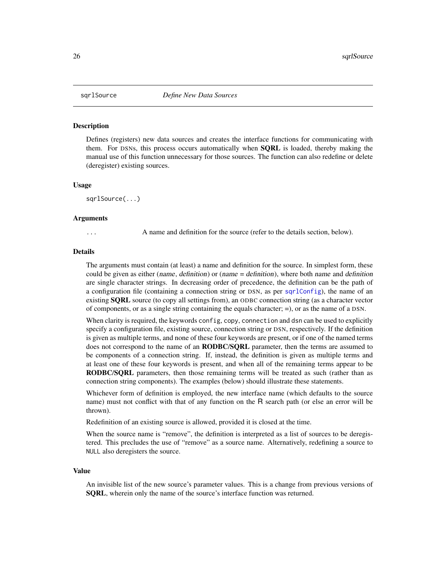<span id="page-25-1"></span><span id="page-25-0"></span>

#### **Description**

Defines (registers) new data sources and creates the interface functions for communicating with them. For DSNs, this process occurs automatically when **SORL** is loaded, thereby making the manual use of this function unnecessary for those sources. The function can also redefine or delete (deregister) existing sources.

#### Usage

sqrlSource(...)

#### Arguments

A name and definition for the source (refer to the details section, below).

#### Details

The arguments must contain (at least) a name and definition for the source. In simplest form, these could be given as either (name, definition) or (name = definition), where both name and definition are single character strings. In decreasing order of precedence, the definition can be the path of a configuration file (containing a connection string or DSN, as per [sqrlConfig](#page-3-1)), the name of an existing **SQRL** source (to copy all settings from), an ODBC connection string (as a character vector of components, or as a single string containing the equals character; =), or as the name of a DSN.

When clarity is required, the keywords config, copy, connection and dsn can be used to explicitly specify a configuration file, existing source, connection string or DSN, respectively. If the definition is given as multiple terms, and none of these four keywords are present, or if one of the named terms does not correspond to the name of an **RODBC/SQRL** parameter, then the terms are assumed to be components of a connection string. If, instead, the definition is given as multiple terms and at least one of these four keywords is present, and when all of the remaining terms appear to be RODBC/SQRL parameters, then those remaining terms will be treated as such (rather than as connection string components). The examples (below) should illustrate these statements.

Whichever form of definition is employed, the new interface name (which defaults to the source name) must not conflict with that of any function on the R search path (or else an error will be thrown).

Redefinition of an existing source is allowed, provided it is closed at the time.

When the source name is "remove", the definition is interpreted as a list of sources to be deregistered. This precludes the use of "remove" as a source name. Alternatively, redefining a source to NULL also deregisters the source.

#### Value

An invisible list of the new source's parameter values. This is a change from previous versions of SQRL, wherein only the name of the source's interface function was returned.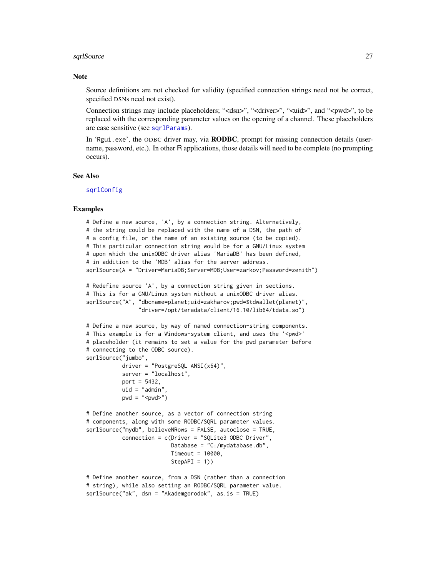#### <span id="page-26-0"></span>sqrlSource 27

#### **Note**

Source definitions are not checked for validity (specified connection strings need not be correct, specified DSNs need not exist).

Connection strings may include placeholders; "<dsn>", "<driver>", "<uid>", and "<pwd>", to be replaced with the corresponding parameter values on the opening of a channel. These placeholders are case sensitive (see [sqrlParams](#page-8-1)).

In 'Rgui.exe', the ODBC driver may, via **RODBC**, prompt for missing connection details (username, password, etc.). In other R applications, those details will need to be complete (no prompting occurs).

## See Also

[sqrlConfig](#page-3-1)

## Examples

```
# Define a new source, 'A', by a connection string. Alternatively,
# the string could be replaced with the name of a DSN, the path of
# a config file, or the name of an existing source (to be copied).
# This particular connection string would be for a GNU/Linux system
# upon which the unixODBC driver alias 'MariaDB' has been defined,
# in addition to the 'MDB' alias for the server address.
sqrlSource(A = "Driver=MariaDB;Server=MDB;User=zarkov;Password=zenith")
# Redefine source 'A', by a connection string given in sections.
# This is for a GNU/Linux system without a unixODBC driver alias.
sqrlSource("A", "dbcname=planet;uid=zakharov;pwd=$tdwallet(planet)",
                "driver=/opt/teradata/client/16.10/lib64/tdata.so")
# Define a new source, by way of named connection-string components.
# This example is for a Windows-system client, and uses the '<pwd>'
# placeholder (it remains to set a value for the pwd parameter before
# connecting to the ODBC source).
sqrlSource("jumbo",
           driver = "PostgreSQL ANSI(x64)",
           server = "localhost",
           port = 5432,
           uid = "admin"pwd = "<pwd>")
# Define another source, as a vector of connection string
# components, along with some RODBC/SQRL parameter values.
sqrlSource("mydb", believeNRows = FALSE, autoclose = TRUE,
           connection = c(Driver = "SQLite3 ODBC Driver",
```

```
Database = "C:/mydatabase.db",
Timeout = 10000,
Step API = 1)
```

```
# Define another source, from a DSN (rather than a connection
# string), while also setting an RODBC/SQRL parameter value.
sqrlSource("ak", dsn = "Akademgorodok", as.is = TRUE)
```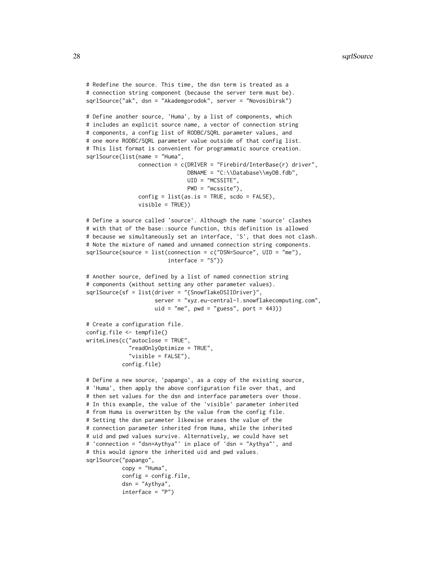```
# Redefine the source. This time, the dsn term is treated as a
# connection string component (because the server term must be).
sqrlSource("ak", dsn = "Akademgorodok", server = "Novosibirsk")
# Define another source, 'Huma', by a list of components, which
# includes an explicit source name, a vector of connection string
# components, a config list of RODBC/SQRL parameter values, and
# one more RODBC/SQRL parameter value outside of that config list.
# This list format is convenient for programmatic source creation.
sqrlSource(list(name = "Huma",
                connection = c(DRIVER = "Firebird/InterBase(r) driver",
                               DBNAME = "C:\\Database\\myDB.fdb",
                               UID = "MCSSITE",
                               PWD = "mcssite"),
                config = list(as.is = TRUE, scdo = FALSE),visible = TRUE))
# Define a source called 'source'. Although the name 'source' clashes
# with that of the base::source function, this definition is allowed
# because we simultaneously set an interface, 'S', that does not clash.
# Note the mixture of named and unnamed connection string components.
sqrlSource(source = list(connection = c("DSN=Source", UID = "me"),
                         interface = "S"))
# Another source, defined by a list of named connection string
# components (without setting any other parameter values).
sqrlSource(sf = list(driver = "{SnowflakeDSIIDriver}",
                     server = "xyz.eu-central-1.snowflakecomputing.com",
                     uid = "me", pwd = "guess", port = 443)# Create a configuration file.
config.file <- tempfile()
writeLines(c("autoclose = TRUE",
             "readOnlyOptimize = TRUE",
             "visible = FALSE"),
           config.file)
# Define a new source, 'papango', as a copy of the existing source,
# 'Huma', then apply the above configuration file over that, and
# then set values for the dsn and interface parameters over those.
# In this example, the value of the 'visible' parameter inherited
# from Huma is overwritten by the value from the config file.
# Setting the dsn parameter likewise erases the value of the
# connection parameter inherited from Huma, while the inherited
# uid and pwd values survive. Alternatively, we could have set
# 'connection = "dsn=Aythya"' in place of 'dsn = "Aythya"', and
# this would ignore the inherited uid and pwd values.
sqrlSource("papango",
           copy = "Human".config = config.file,
```

```
dsn = "Aythya",
interface = "P")
```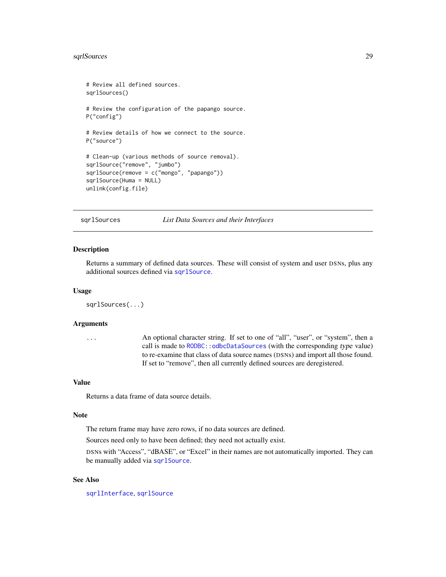## <span id="page-28-0"></span>sqrlSources 29

```
# Review all defined sources.
sqrlSources()
# Review the configuration of the papango source.
P("config")
# Review details of how we connect to the source.
P("source")
# Clean-up (various methods of source removal).
sqrlSource("remove", "jumbo")
sqrlSource(remove = c("mongo", "papango"))
sqrlSource(Huma = NULL)
unlink(config.file)
```
<span id="page-28-1"></span>sqrlSources *List Data Sources and their Interfaces*

#### Description

Returns a summary of defined data sources. These will consist of system and user DSNs, plus any additional sources defined via [sqrlSource](#page-25-1).

#### Usage

sqrlSources(...)

## Arguments

... An optional character string. If set to one of "all", "user", or "system", then a call is made to RODBC:: odbcDataSources (with the corresponding type value) to re-examine that class of data source names (DSNs) and import all those found. If set to "remove", then all currently defined sources are deregistered.

#### Value

Returns a data frame of data source details.

#### Note

The return frame may have zero rows, if no data sources are defined.

Sources need only to have been defined; they need not actually exist.

DSNs with "Access", "dBASE", or "Excel" in their names are not automatically imported. They can be manually added via [sqrlSource](#page-25-1).

## See Also

[sqrlInterface](#page-5-1), [sqrlSource](#page-25-1)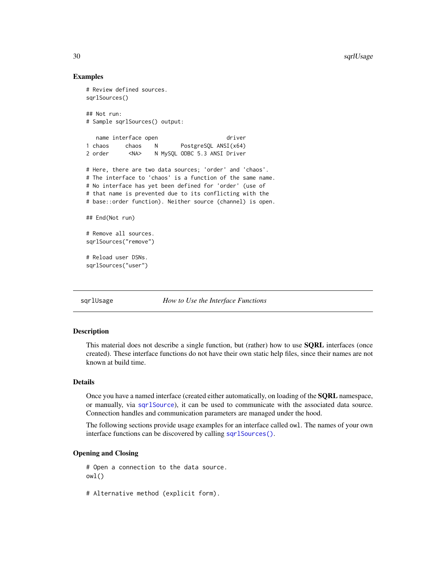## Examples

```
# Review defined sources.
sqrlSources()
## Not run:
# Sample sqrlSources() output:
  name interface open driver
1 chaos chaos N PostgreSQL ANSI(x64)
2 order <NA> N MySQL ODBC 5.3 ANSI Driver
# Here, there are two data sources; 'order' and 'chaos'.
# The interface to 'chaos' is a function of the same name.
# No interface has yet been defined for 'order' (use of
# that name is prevented due to its conflicting with the
# base::order function). Neither source (channel) is open.
## End(Not run)
# Remove all sources.
sqrlSources("remove")
# Reload user DSNs.
sqrlSources("user")
```
<span id="page-29-1"></span>sqrlUsage *How to Use the Interface Functions*

## Description

This material does not describe a single function, but (rather) how to use **SQRL** interfaces (once created). These interface functions do not have their own static help files, since their names are not known at build time.

## Details

Once you have a named interface (created either automatically, on loading of the SQRL namespace, or manually, via [sqrlSource](#page-25-1)), it can be used to communicate with the associated data source. Connection handles and communication parameters are managed under the hood.

The following sections provide usage examples for an interface called owl. The names of your own interface functions can be discovered by calling [sqrlSources\(\)](#page-0-0).

## Opening and Closing

# Open a connection to the data source. owl()

# Alternative method (explicit form).

<span id="page-29-0"></span>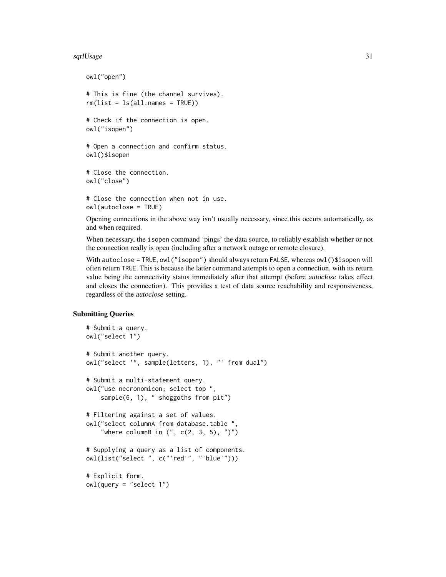#### sqrlUsage 31

```
owl("open")
# This is fine (the channel survives).
rm(list = ls(all.name = TRUE))# Check if the connection is open.
owl("isopen")
# Open a connection and confirm status.
owl()$isopen
# Close the connection.
owl("close")
# Close the connection when not in use.
owl(autoclose = TRUE)
```
Opening connections in the above way isn't usually necessary, since this occurs automatically, as and when required.

When necessary, the isopen command 'pings' the data source, to reliably establish whether or not the connection really is open (including after a network outage or remote closure).

With autoclose = TRUE, owl("isopen") should always return FALSE, whereas owl()\$isopen will often return TRUE. This is because the latter command attempts to open a connection, with its return value being the connectivity status immediately after that attempt (before autoclose takes effect and closes the connection). This provides a test of data source reachability and responsiveness, regardless of the autoclose setting.

## Submitting Queries

```
# Submit a query.
owl("select 1")
# Submit another query.
owl("select '", sample(letters, 1), "' from dual")
# Submit a multi-statement query.
owl("use necronomicon; select top ",
    sample(6, 1), " shoggoths from pit")
# Filtering against a set of values.
owl("select columnA from database.table ",
    "where columnB in ('', c(2, 3, 5), '')")
# Supplying a query as a list of components.
owl(list("select ", c("'red'", "'blue'")))
# Explicit form.
owl(query = "select 1")
```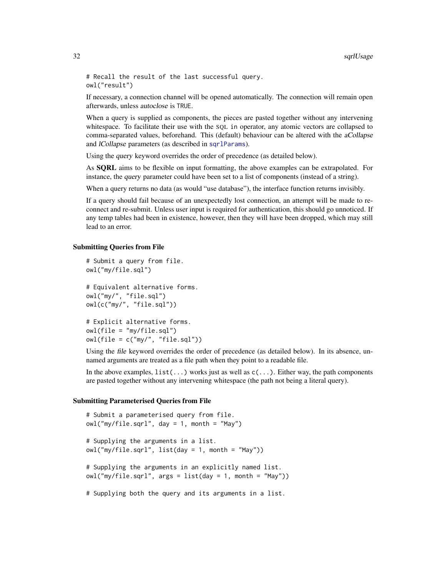<span id="page-31-0"></span># Recall the result of the last successful query. owl("result")

If necessary, a connection channel will be opened automatically. The connection will remain open afterwards, unless autoclose is TRUE.

When a query is supplied as components, the pieces are pasted together without any intervening whitespace. To facilitate their use with the SQL in operator, any atomic vectors are collapsed to comma-separated values, beforehand. This (default) behaviour can be altered with the aCollapse and *lCollapse* parameters (as described in sqr1Params).

Using the query keyword overrides the order of precedence (as detailed below).

As SQRL aims to be flexible on input formatting, the above examples can be extrapolated. For instance, the query parameter could have been set to a list of components (instead of a string).

When a query returns no data (as would "use database"), the interface function returns invisibly.

If a query should fail because of an unexpectedly lost connection, an attempt will be made to reconnect and re-submit. Unless user input is required for authentication, this should go unnoticed. If any temp tables had been in existence, however, then they will have been dropped, which may still lead to an error.

#### Submitting Queries from File

```
# Submit a query from file.
owl("my/file.sql")
# Equivalent alternative forms.
owl("my/", "file.sql")
owl(c("my/", "file.sql"))
# Explicit alternative forms.
owl(file = "my/file.sql")
owl(file = c("my/", "file.sql"))
```
Using the file keyword overrides the order of precedence (as detailed below). In its absence, unnamed arguments are treated as a file path when they point to a readable file.

In the above examples,  $list(...)$  works just as well as  $c(...)$ . Either way, the path components are pasted together without any intervening whitespace (the path not being a literal query).

#### Submitting Parameterised Queries from File

```
# Submit a parameterised query from file.
owl("my/file.sqrl", day = 1, month = "May")# Supplying the arguments in a list.
owl("my/file,sgrl", list(day = 1, month = "May"))# Supplying the arguments in an explicitly named list.
owl("my/file.sqrl", args = list(day = 1, month = "May"))# Supplying both the query and its arguments in a list.
```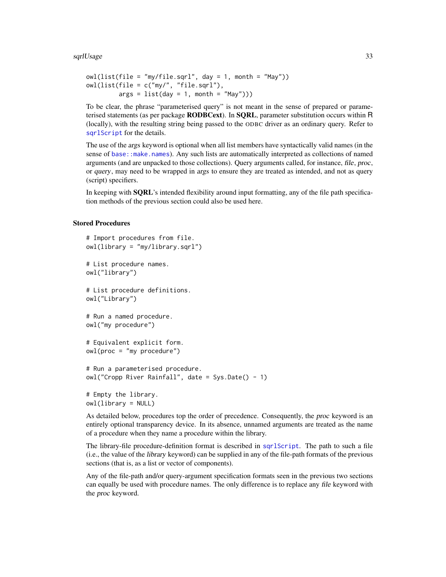<span id="page-32-0"></span>sqrlUsage 33

```
owl(list(file = "my/file.sqrt", day = 1, month = "May")owl(list(file = c("my/", "file.sqrl"),
        args = list(day = 1, month = "May"))
```
To be clear, the phrase "parameterised query" is not meant in the sense of prepared or parameterised statements (as per package **RODBCext**). In **SORL**, parameter substitution occurs within  $R$ (locally), with the resulting string being passed to the ODBC driver as an ordinary query. Refer to [sqrlScript](#page-12-1) for the details.

The use of the args keyword is optional when all list members have syntactically valid names (in the sense of base:: make.names). Any such lists are automatically interpreted as collections of named arguments (and are unpacked to those collections). Query arguments called, for instance, file, proc, or query, may need to be wrapped in args to ensure they are treated as intended, and not as query (script) specifiers.

In keeping with **SQRL**'s intended flexibility around input formatting, any of the file path specification methods of the previous section could also be used here.

## Stored Procedures

```
# Import procedures from file.
owl(library = "my/library.sqrl")
# List procedure names.
owl("library")
# List procedure definitions.
owl("Library")
# Run a named procedure.
owl("my procedure")
# Equivalent explicit form.
owl(proc = "my procedure")
# Run a parameterised procedure.
owl("Cropp River Rainfall", date = Sys.Date() - 1)
# Empty the library.
owl(library = NULL)
```
As detailed below, procedures top the order of precedence. Consequently, the proc keyword is an entirely optional transparency device. In its absence, unnamed arguments are treated as the name of a procedure when they name a procedure within the library.

The library-file procedure-definition format is described in [sqrlScript](#page-12-1). The path to such a file (i.e., the value of the library keyword) can be supplied in any of the file-path formats of the previous sections (that is, as a list or vector of components).

Any of the file-path and/or query-argument specification formats seen in the previous two sections can equally be used with procedure names. The only difference is to replace any file keyword with the proc keyword.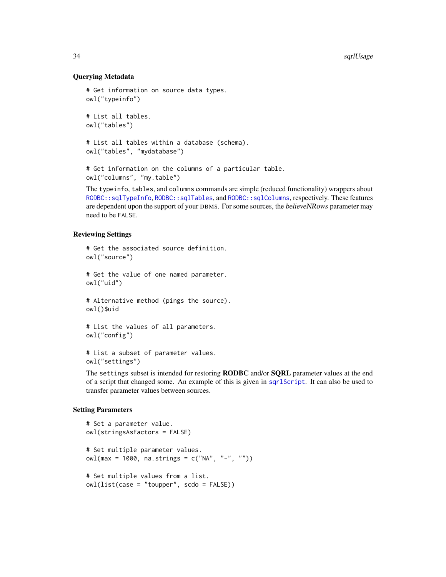## Querying Metadata

```
# Get information on source data types.
owl("typeinfo")
# List all tables.
owl("tables")
# List all tables within a database (schema).
```

```
owl("tables", "mydatabase")
```
# Get information on the columns of a particular table. owl("columns", "my.table")

The typeinfo, tables, and columns commands are simple (reduced functionality) wrappers about [RODBC::sqlTypeInfo](#page-0-0), [RODBC::sqlTables](#page-0-0), and [RODBC::sqlColumns](#page-0-0), respectively. These features are dependent upon the support of your DBMS. For some sources, the believeNRows parameter may need to be FALSE.

## Reviewing Settings

```
# Get the associated source definition.
owl("source")
# Get the value of one named parameter.
owl("uid")
# Alternative method (pings the source).
owl()$uid
# List the values of all parameters.
owl("config")
```

```
# List a subset of parameter values.
owl("settings")
```
The settings subset is intended for restoring **RODBC** and/or **SQRL** parameter values at the end of a script that changed some. An example of this is given in [sqrlScript](#page-12-1). It can also be used to transfer parameter values between sources.

## Setting Parameters

```
# Set a parameter value.
owl(stringsAsFactors = FALSE)
# Set multiple parameter values.
owl(max = 1000, na.strings = c("NA", "-", ""))
# Set multiple values from a list.
owl(list(case = "toupper", scdo = FALSE))
```
<span id="page-33-0"></span>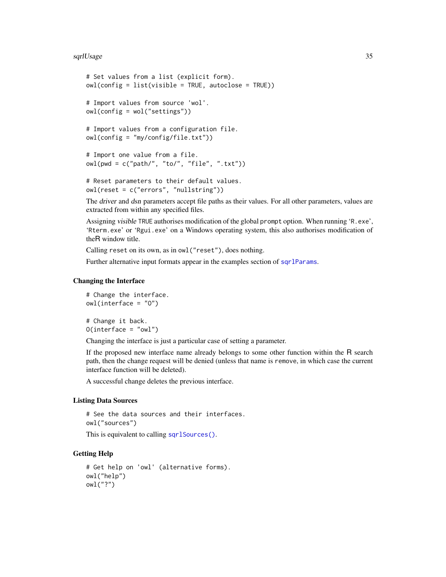#### <span id="page-34-0"></span>sqrlUsage 35

```
# Set values from a list (explicit form).
owl(config = list(visible = TRUE, autoclose = TRUE))
# Import values from source 'wol'.
owl(config = wol("settings"))
# Import values from a configuration file.
owl(config = "my/config/file.txt"))
# Import one value from a file.
owl(pwd = c("path/", "to/", "file", ".txt"))
# Reset parameters to their default values.
```
owl(reset = c("errors", "nullstring"))

The driver and dsn parameters accept file paths as their values. For all other parameters, values are extracted from within any specified files.

Assigning visible TRUE authorises modification of the global prompt option. When running 'R.exe', 'Rterm.exe' or 'Rgui.exe' on a Windows operating system, this also authorises modification of theR window title.

Calling reset on its own, as in owl("reset"), does nothing.

Further alternative input formats appear in the examples section of sqr1Params.

## Changing the Interface

```
# Change the interface.
owl(interface = "O")
```
# Change it back.  $O(interface = "owl")$ 

Changing the interface is just a particular case of setting a parameter.

If the proposed new interface name already belongs to some other function within the R search path, then the change request will be denied (unless that name is remove, in which case the current interface function will be deleted).

A successful change deletes the previous interface.

## Listing Data Sources

# See the data sources and their interfaces. owl("sources")

This is equivalent to calling [sqrlSources\(\)](#page-0-0).

## Getting Help

```
# Get help on 'owl' (alternative forms).
owl("help")
owl("?")
```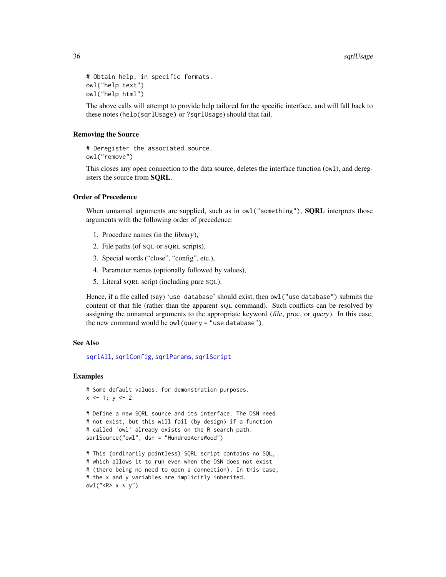```
# Obtain help, in specific formats.
owl("help text")
owl("help html")
```
The above calls will attempt to provide help tailored for the specific interface, and will fall back to these notes (help(sqrlUsage) or ?sqrlUsage) should that fail.

#### Removing the Source

```
# Deregister the associated source.
owl("remove")
```
This closes any open connection to the data source, deletes the interface function (owl), and deregisters the source from SQRL.

## Order of Precedence

When unnamed arguments are supplied, such as in  $owl("something"), **SQRL** interprets those$ arguments with the following order of precedence:

- 1. Procedure names (in the library),
- 2. File paths (of SQL or SQRL scripts),
- 3. Special words ("close", "config", etc.),
- 4. Parameter names (optionally followed by values),
- 5. Literal SQRL script (including pure SQL).

Hence, if a file called (say) 'use database' should exist, then owl("use database") submits the content of that file (rather than the apparent SQL command). Such conflicts can be resolved by assigning the unnamed arguments to the appropriate keyword (file, proc, or query). In this case, the new command would be  $owl$  (query = "use database").

## See Also

[sqrlAll](#page-2-1), [sqrlConfig](#page-3-1), [sqrlParams](#page-8-1), [sqrlScript](#page-12-1)

## Examples

```
# Some default values, for demonstration purposes.
x \le -1; y \le -2
```
# Define a new SQRL source and its interface. The DSN need # not exist, but this will fail (by design) if a function # called 'owl' already exists on the R search path. sqrlSource("owl", dsn = "HundredAcreWood")

```
# This (ordinarily pointless) SQRL script contains no SQL,
# which allows it to run even when the DSN does not exist
# (there being no need to open a connection). In this case,
# the x and y variables are implicitly inherited.
owl("<sub>R</sub> × x * y")
```
<span id="page-35-0"></span>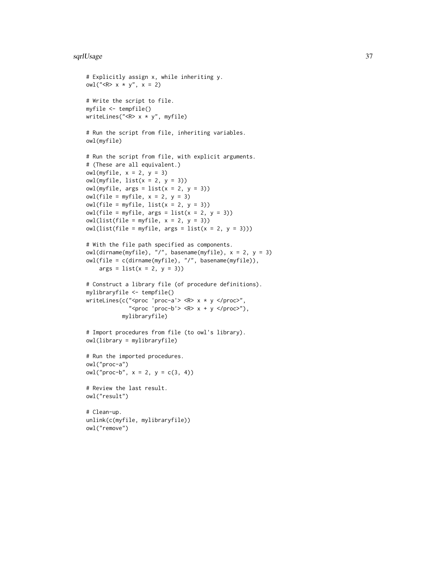#### sqrlUsage 37

```
# Explicitly assign x, while inheriting y.
owl("<R> x * y", x = 2)
# Write the script to file.
myfile <- tempfile()
writeLines("<R> x * y", myfile)
# Run the script from file, inheriting variables.
owl(myfile)
# Run the script from file, with explicit arguments.
# (These are all equivalent.)
owl(myfile, x = 2, y = 3)owl(myfile, list(x = 2, y = 3))owl(myfile, args = list(x = 2, y = 3))owl(file = myfile, x = 2, y = 3)owl(file = myfile, list(x = 2, y = 3))owl(file = myfile, args = list(x = 2, y = 3))owl(list(file = myfile, x = 2, y = 3))owl(list(file = myfile, args = list(x = 2, y = 3)))# With the file path specified as components.
owl(dirname(myfile), "/", basename(myfile), x = 2, y = 3)
owl(file = c(dirname(myfile), "/", basename(myfile)),
   args = list(x = 2, y = 3))# Construct a library file (of procedure definitions).
mylibraryfile <- tempfile()
writeLines(c("<proc 'proc-a'> <R> x * y </proc>",
             "<proc 'proc-b'> <R> x + y </proc>"),
           mylibraryfile)
# Import procedures from file (to owl's library).
owl(library = mylibraryfile)
# Run the imported procedures.
owl("proc-a")
owl("proc-b", x = 2, y = c(3, 4))# Review the last result.
owl("result")
# Clean-up.
unlink(c(myfile, mylibraryfile))
owl("remove")
```